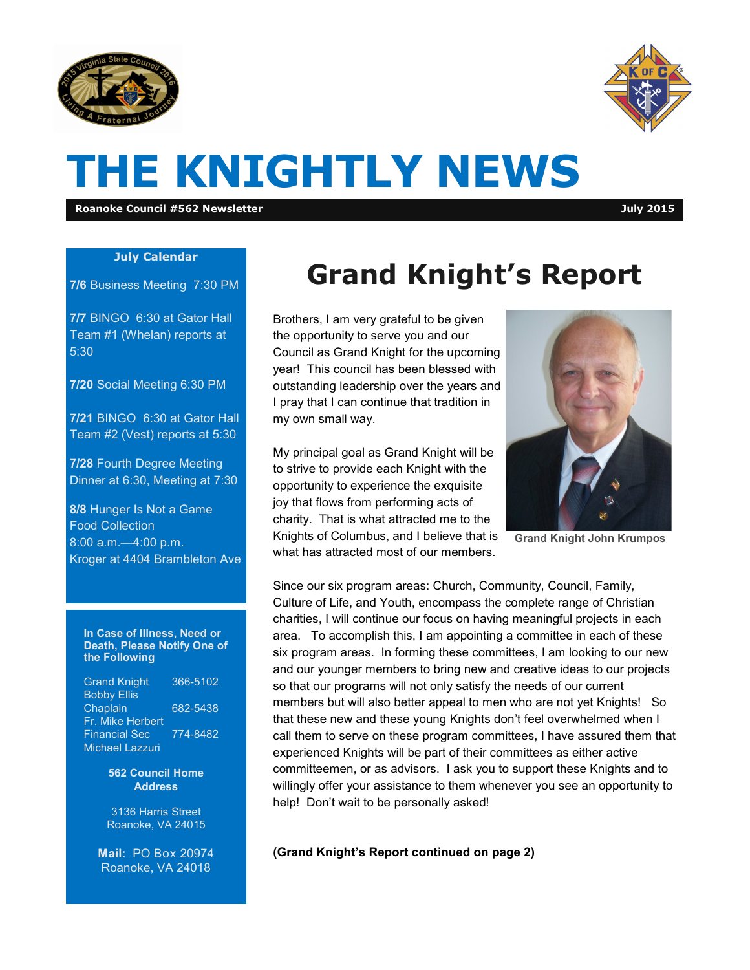



# **THE KNIGHTLY NEWS**

**Roanoke Council #562 Newsletter July 2015**

#### **July Calendar**

**7/6** Business Meeting 7:30 PM

**7/7** BINGO 6:30 at Gator Hall Team #1 (Whelan) reports at 5:30

**7/20** Social Meeting 6:30 PM

**7/21** BINGO 6:30 at Gator Hall Team #2 (Vest) reports at 5:30

**7/28** Fourth Degree Meeting Dinner at 6:30, Meeting at 7:30

**8/8** Hunger Is Not a Game Food Collection 8:00 a.m.—4:00 p.m. Kroger at 4404 Brambleton Ave

#### **In Case of Illness, Need or Death, Please Notify One of the Following**

| <b>Grand Knight</b>    | 366-5102 |
|------------------------|----------|
| <b>Bobby Ellis</b>     |          |
| Chaplain               | 682-5438 |
| Fr. Mike Herbert       |          |
| <b>Financial Sec</b>   | 774-8482 |
| <b>Michael Lazzuri</b> |          |

**562 Council Home Address**

3136 Harris Street Roanoke, VA 24015

**Mail:** PO Box 20974 Roanoke, VA 24018

## **Grand Knight's Report**

Brothers, I am very grateful to be given the opportunity to serve you and our Council as Grand Knight for the upcoming year! This council has been blessed with outstanding leadership over the years and I pray that I can continue that tradition in my own small way.

My principal goal as Grand Knight will be to strive to provide each Knight with the opportunity to experience the exquisite joy that flows from performing acts of charity. That is what attracted me to the Knights of Columbus, and I believe that is what has attracted most of our members.



**Grand Knight John Krumpos**

Since our six program areas: Church, Community, Council, Family, Culture of Life, and Youth, encompass the complete range of Christian charities, I will continue our focus on having meaningful projects in each area. To accomplish this, I am appointing a committee in each of these six program areas. In forming these committees, I am looking to our new and our younger members to bring new and creative ideas to our projects so that our programs will not only satisfy the needs of our current members but will also better appeal to men who are not yet Knights! So that these new and these young Knights don't feel overwhelmed when I call them to serve on these program committees, I have assured them that experienced Knights will be part of their committees as either active committeemen, or as advisors. I ask you to support these Knights and to willingly offer your assistance to them whenever you see an opportunity to help! Don't wait to be personally asked!

**(Grand Knight's Report continued on page 2)**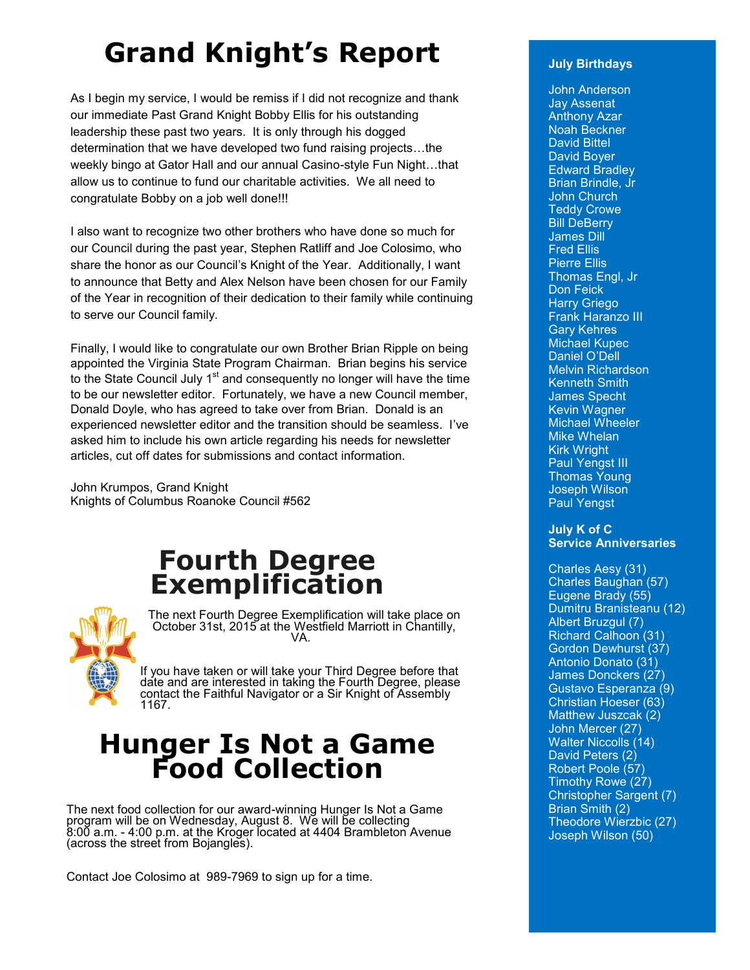## **Grand Knight's Report**

As I begin my service, I would be remiss if I did not recognize and thank our immediate Past Grand Knight Bobby Ellis for his outstanding leadership these past two years. It is only through his dogged determination that we have developed two fund raising projects…the weekly bingo at Gator Hall and our annual Casino-style Fun Night…that allow us to continue to fund our charitable activities. We all need to congratulate Bobby on a job well done!!!

I also want to recognize two other brothers who have done so much for our Council during the past year, Stephen Ratliff and Joe Colosimo, who share the honor as our Council's Knight of the Year. Additionally, I want to announce that Betty and Alex Nelson have been chosen for our Family of the Year in recognition of their dedication to their family while continuing to serve our Council family.

Finally, I would like to congratulate our own Brother Brian Ripple on being appointed the Virginia State Program Chairman. Brian begins his service to the State Council July  $1<sup>st</sup>$  and consequently no longer will have the time to be our newsletter editor. Fortunately, we have a new Council member, Donald Doyle, who has agreed to take over from Brian. Donald is an experienced newsletter editor and the transition should be seamless. I've asked him to include his own article regarding his needs for newsletter articles, cut off dates for submissions and contact information.

John Krumpos, Grand Knight Knights of Columbus Roanoke Council #562

### **Fourth Degree Exemplification**



The next Fourth Degree Exemplification will take place on October 31st, 2015 at the Westfield Marriott in Chantilly, VA.

If you have taken or will take your Third Degree before that date and are interested in taking the Fourth Degree, please contact the Faithful Navigator or a Sir Knight of Assembly 1167.

### **Hunger Is Not a Game Food Collection**

The next food collection for our award-winning Hunger Is Not a Game program will be on Wednesday, August 8. We will be collecting 8:00 a.m. - 4:00 p.m. at the Kroger located at 4404 Brambleton Avenue (across the street from Bojangles).

Contact Joe Colosimo at 989-7969 to sign up for a time.

#### **July Birthdays**

John Anderson Jay Assenat Anthony Azar Noah Beckner David Bittel David Boyer Edward Bradley Brian Brindle, Jr John Church Teddy Crowe **Bill DeBerry** James Dill Fred Ellis Pierre Ellis Thomas Engl, Jr Don Feick Harry Griego Frank Haranzo III Gary Kehres Michael Kupec Daniel O'Dell Melvin Richardson Kenneth Smith James Specht Kevin Wagner Michael Wheeler Mike Whelan Kirk Wright Paul Yengst III Thomas Young Joseph Wilson Paul Yengst

#### **July K of C Service Anniversaries**

Charles Aesy (31) Charles Baughan (57) Eugene Brady (55) Dumitru Branisteanu (12) Albert Bruzgul (7) Richard Calhoon (31) Gordon Dewhurst (37) Antonio Donato (31) James Donckers (27) Gustavo Esperanza (9) Christian Hoeser (63) Matthew Juszcak (2) John Mercer (27) Walter Niccolls (14) David Peters (2) Robert Poole (57) Timothy Rowe (27) Christopher Sargent (7) Brian Smith (2) Theodore Wierzbic (27) Joseph Wilson (50)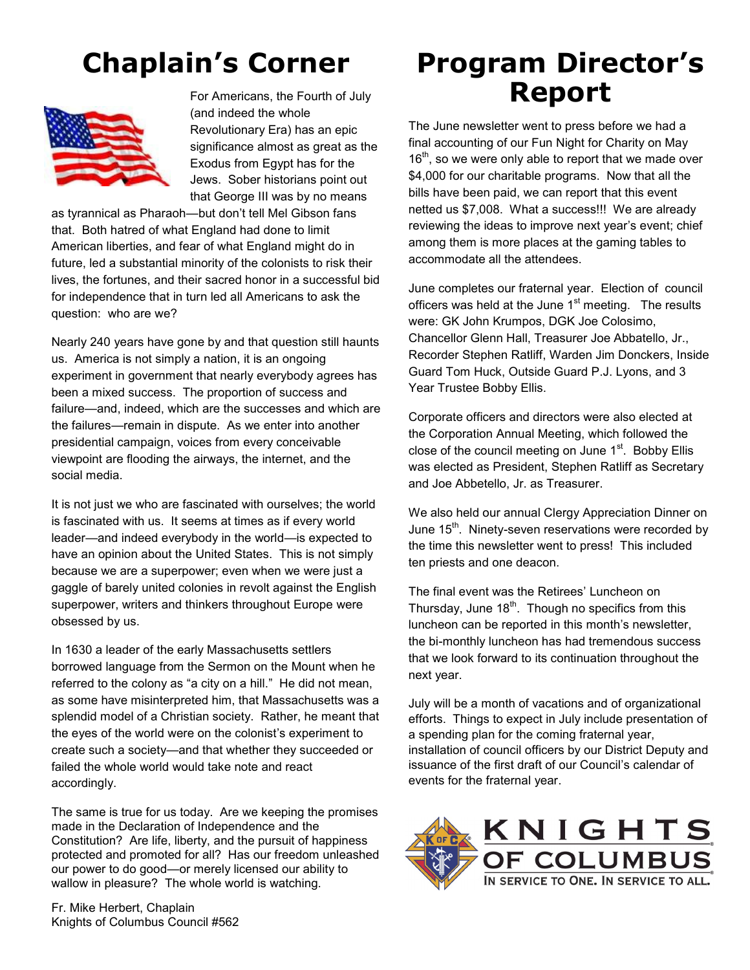## **Chaplain's Corner**



For Americans, the Fourth of July (and indeed the whole Revolutionary Era) has an epic significance almost as great as the Exodus from Egypt has for the Jews. Sober historians point out that George III was by no means

as tyrannical as Pharaoh—but don't tell Mel Gibson fans that. Both hatred of what England had done to limit American liberties, and fear of what England might do in future, led a substantial minority of the colonists to risk their lives, the fortunes, and their sacred honor in a successful bid for independence that in turn led all Americans to ask the question: who are we?

Nearly 240 years have gone by and that question still haunts us. America is not simply a nation, it is an ongoing experiment in government that nearly everybody agrees has been a mixed success. The proportion of success and failure—and, indeed, which are the successes and which are the failures—remain in dispute. As we enter into another presidential campaign, voices from every conceivable viewpoint are flooding the airways, the internet, and the social media.

It is not just we who are fascinated with ourselves; the world is fascinated with us. It seems at times as if every world leader—and indeed everybody in the world—is expected to have an opinion about the United States. This is not simply because we are a superpower; even when we were just a gaggle of barely united colonies in revolt against the English superpower, writers and thinkers throughout Europe were obsessed by us.

In 1630 a leader of the early Massachusetts settlers borrowed language from the Sermon on the Mount when he referred to the colony as "a city on a hill." He did not mean, as some have misinterpreted him, that Massachusetts was a splendid model of a Christian society. Rather, he meant that the eyes of the world were on the colonist's experiment to create such a society—and that whether they succeeded or failed the whole world would take note and react accordingly.

The same is true for us today. Are we keeping the promises made in the Declaration of Independence and the Constitution? Are life, liberty, and the pursuit of happiness protected and promoted for all? Has our freedom unleashed our power to do good—or merely licensed our ability to wallow in pleasure? The whole world is watching.

Fr. Mike Herbert, Chaplain Knights of Columbus Council #562

### **Program Director's Report**

The June newsletter went to press before we had a final accounting of our Fun Night for Charity on May  $16<sup>th</sup>$ , so we were only able to report that we made over \$4,000 for our charitable programs. Now that all the bills have been paid, we can report that this event netted us \$7,008. What a success!!! We are already reviewing the ideas to improve next year's event; chief among them is more places at the gaming tables to accommodate all the attendees.

June completes our fraternal year. Election of council officers was held at the June  $1<sup>st</sup>$  meeting. The results were: GK John Krumpos, DGK Joe Colosimo, Chancellor Glenn Hall, Treasurer Joe Abbatello, Jr., Recorder Stephen Ratliff, Warden Jim Donckers, Inside Guard Tom Huck, Outside Guard P.J. Lyons, and 3 Year Trustee Bobby Ellis.

Corporate officers and directors were also elected at the Corporation Annual Meeting, which followed the close of the council meeting on June  $1<sup>st</sup>$ . Bobby Ellis was elected as President, Stephen Ratliff as Secretary and Joe Abbetello, Jr. as Treasurer.

We also held our annual Clergy Appreciation Dinner on June  $15<sup>th</sup>$ . Ninety-seven reservations were recorded by the time this newsletter went to press! This included ten priests and one deacon.

The final event was the Retirees' Luncheon on Thursday, June  $18<sup>th</sup>$ . Though no specifics from this luncheon can be reported in this month's newsletter, the bi-monthly luncheon has had tremendous success that we look forward to its continuation throughout the next year.

July will be a month of vacations and of organizational efforts. Things to expect in July include presentation of a spending plan for the coming fraternal year, installation of council officers by our District Deputy and issuance of the first draft of our Council's calendar of events for the fraternal year.

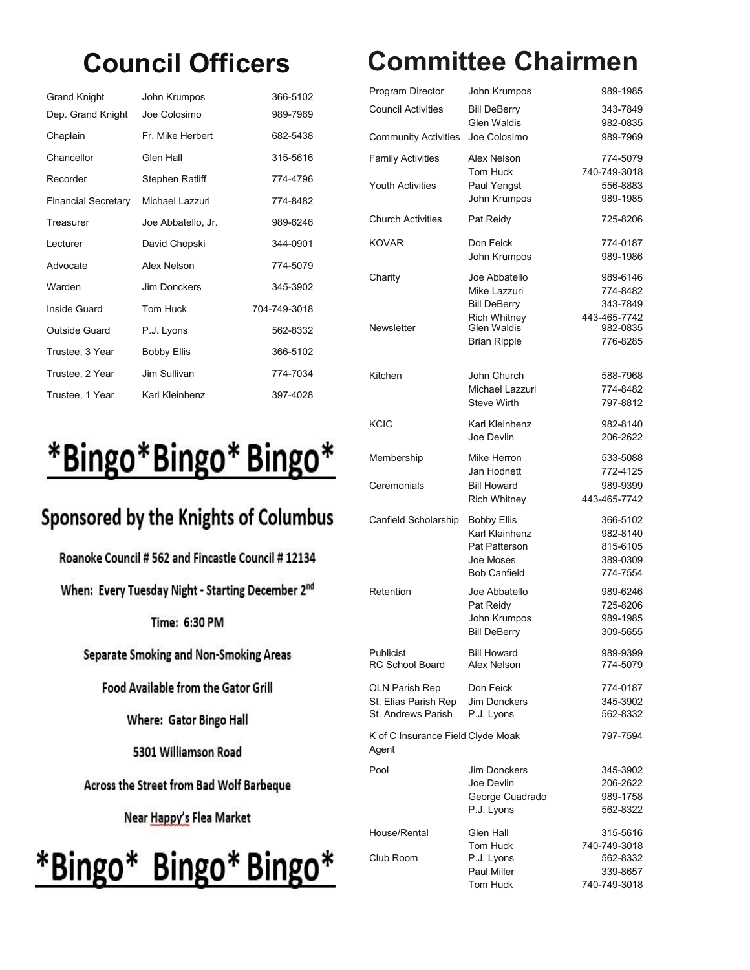## **Council Officers**

| Grand Knight               | John Krumpos        | 366-5102     |
|----------------------------|---------------------|--------------|
| Dep. Grand Knight          | Joe Colosimo        | 989-7969     |
| Chaplain                   | Fr. Mike Herbert    | 682-5438     |
| Chancellor                 | Glen Hall           | 315-5616     |
| Recorder                   | Stephen Ratliff     | 774-4796     |
| <b>Financial Secretary</b> | Michael Lazzuri     | 774-8482     |
| Treasurer                  | Joe Abbatello, Jr.  | 989-6246     |
| Lecturer                   | David Chopski       | 344-0901     |
| Advocate                   | Alex Nelson         | 774-5079     |
| Warden                     | <b>Jim Donckers</b> | 345-3902     |
| Inside Guard               | Tom Huck            | 704-749-3018 |
| <b>Outside Guard</b>       | P.J. Lyons          | 562-8332     |
| Trustee, 3 Year            | <b>Bobby Ellis</b>  | 366-5102     |
| Trustee, 2 Year            | Jim Sullivan        | 774-7034     |
| Trustee, 1 Year            | Karl Kleinhenz      | 397-4028     |

# \*Bingo\*Bingo\*Bingo\*

### Sponsored by the Knights of Columbus

Roanoke Council # 562 and Fincastle Council # 12134

When: Every Tuesday Night - Starting December 2<sup>nd</sup>

Time: 6:30 PM

Separate Smoking and Non-Smoking Areas

Food Available from the Gator Grill

Where: Gator Bingo Hall

5301 Williamson Road

Across the Street from Bad Wolf Barbeque

Near Happy's Flea Market

# \*Bingo\* Bingo\* Bingo\*

## **Committee Chairmen**

| Program Director                                             | John Krumpos                                                                              | 989-1985                                                 |
|--------------------------------------------------------------|-------------------------------------------------------------------------------------------|----------------------------------------------------------|
| <b>Council Activities</b>                                    | <b>Bill DeBerry</b><br><b>Glen Waldis</b>                                                 | 343-7849<br>982-0835                                     |
| <b>Community Activities</b>                                  | Joe Colosimo                                                                              | 989-7969                                                 |
| <b>Family Activities</b><br><b>Youth Activities</b>          | Alex Nelson<br>Tom Huck<br>Paul Yengst<br>John Krumpos                                    | 774-5079<br>740-749-3018<br>556-8883<br>989-1985         |
| <b>Church Activities</b>                                     | Pat Reidy                                                                                 | 725-8206                                                 |
| <b>KOVAR</b>                                                 | Don Feick<br>John Krumpos                                                                 | 774-0187<br>989-1986                                     |
| Charity                                                      | Joe Abbatello<br>Mike Lazzuri<br><b>Bill DeBerry</b><br><b>Rich Whitney</b>               | 989-6146<br>774-8482<br>343-7849<br>443-465-7742         |
| Newsletter                                                   | <b>Glen Waldis</b><br><b>Brian Ripple</b>                                                 | 982-0835<br>776-8285                                     |
| Kitchen                                                      | John Church<br>Michael Lazzuri<br><b>Steve Wirth</b>                                      | 588-7968<br>774-8482<br>797-8812                         |
| <b>KCIC</b>                                                  | Karl Kleinhenz<br>Joe Devlin                                                              | 982-8140<br>206-2622                                     |
| Membership                                                   | Mike Herron<br>Jan Hodnett                                                                | 533-5088<br>772-4125                                     |
| Ceremonials                                                  | <b>Bill Howard</b><br>Rich Whitney                                                        | 989-9399<br>443-465-7742                                 |
| Canfield Scholarship                                         | <b>Bobby Ellis</b><br>Karl Kleinhenz<br>Pat Patterson<br>Joe Moses<br><b>Bob Canfield</b> | 366-5102<br>982-8140<br>815-6105<br>389-0309<br>774-7554 |
| Retention                                                    | Joe Abbatello<br>Pat Reidy<br>John Krumpos<br><b>Bill DeBerry</b>                         | 989-6246<br>725-8206<br>989-1985<br>309-5655             |
| Publicist<br><b>RC School Board</b>                          | <b>Bill Howard</b><br>Alex Nelson                                                         | 989-9399<br>774-5079                                     |
| OLN Parish Rep<br>St. Elias Parish Rep<br>St. Andrews Parish | Don Feick<br>Jim Donckers<br>P.J. Lyons                                                   | 774-0187<br>345-3902<br>562-8332                         |
| K of C Insurance Field Clyde Moak<br>Agent                   |                                                                                           | 797-7594                                                 |
| Pool                                                         | Jim Donckers<br>Joe Devlin<br>George Cuadrado<br>P.J. Lyons                               | 345-3902<br>206-2622<br>989-1758<br>562-8322             |
| House/Rental                                                 | Glen Hall                                                                                 | 315-5616                                                 |
| Club Room                                                    | Tom Huck<br>P.J. Lyons<br>Paul Miller<br>Tom Huck                                         | 740-749-3018<br>562-8332<br>339-8657<br>740-749-3018     |